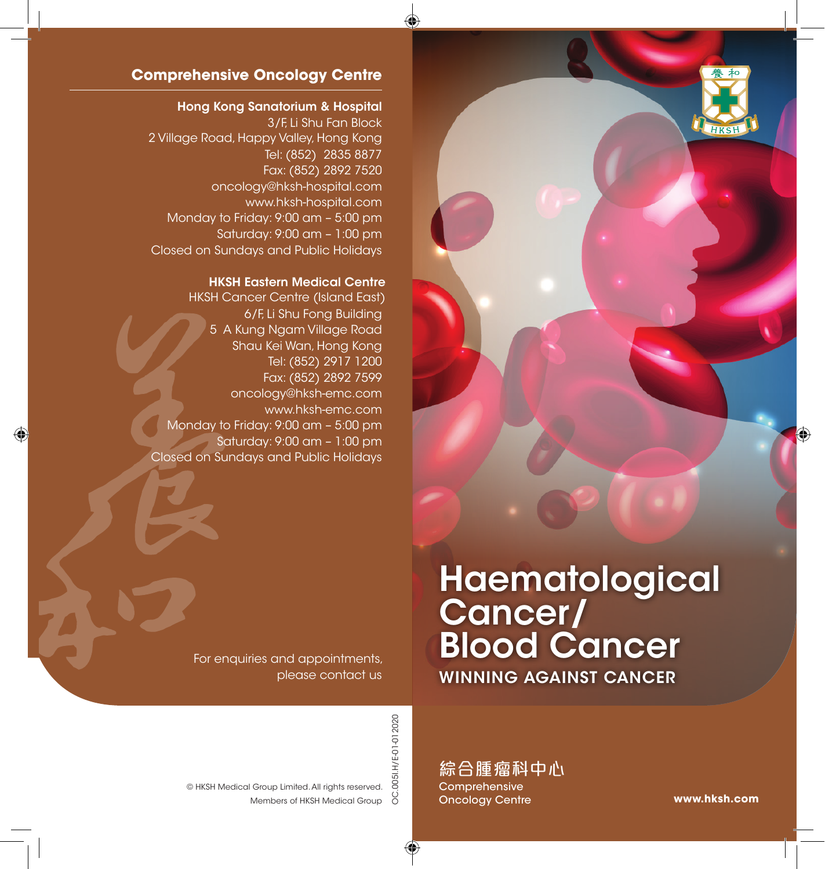

### **Comprehensive Oncology Centre**

#### Hong Kong Sanatorium & Hospital

3/F, Li Shu Fan Block 2 Village Road, Happy Valley, Hong Kong Tel: (852) 2835 8877 Fax: (852) 2892 7520 oncology@hksh-hospital.com www.hksh-hospital.com Monday to Friday: 9:00 am – 5:00 pm Saturday: 9:00 am – 1:00 pm Closed on Sundays and Public Holidays

#### HKSH Eastern Medical Centre

HKSH Cancer Centre (Island East) 6/F, Li Shu Fong Building 5 A Kung Ngam Village Road Shau Kei Wan, Hong Kong Tel: (852) 2917 1200 Fax: (852) 2892 7599 oncology@hksh-emc.com www.hksh-emc.com Monday to Friday: 9:00 am – 5:00 pm Saturday: 9:00 am – 1:00 pm Closed on Sundays and Public Holidays

# Haematological Cancer/ Blood Cancer WINNING AGAINST CANCER

For enquiries and appointments, please contact us

> 0051.H/E-01-012020 OC.005I.H/E-01-012020 9Ö

Members of HKSH Medical Group © HKSH Medical Group Limited. All rights reserved.

綜合腫瘤科中心 **Comprehensive** Oncology Centre

**www.hksh.com**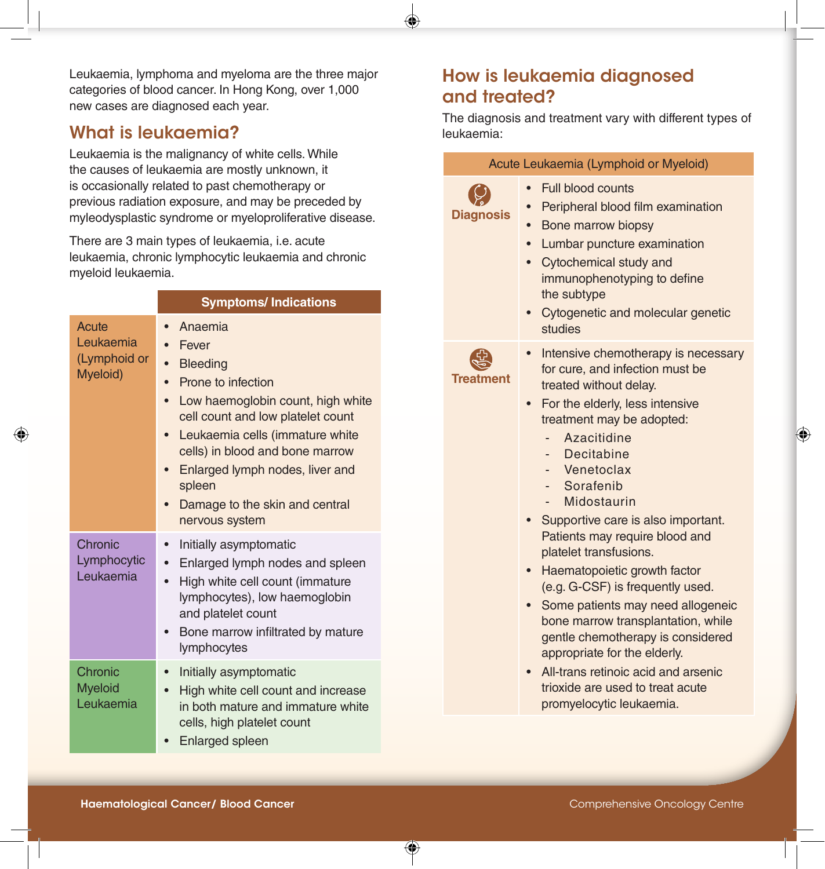Leukaemia, lymphoma and myeloma are the three major categories of blood cancer. In Hong Kong, over 1,000 new cases are diagnosed each year.

## What is leukaemia?

Leukaemia is the malignancy of white cells. While the causes of leukaemia are mostly unknown, it is occasionally related to past chemotherapy or previous radiation exposure, and may be preceded by myleodysplastic syndrome or myeloproliferative disease.

There are 3 main types of leukaemia, i.e. acute leukaemia, chronic lymphocytic leukaemia and chronic myeloid leukaemia.

|                                                | <b>Symptoms/Indications</b>                                                                                                                                                                                                                                                                                             |  |  |  |
|------------------------------------------------|-------------------------------------------------------------------------------------------------------------------------------------------------------------------------------------------------------------------------------------------------------------------------------------------------------------------------|--|--|--|
| Acute<br>Leukaemia<br>(Lymphoid or<br>Myeloid) | Anaemia<br>$\bullet$<br>Fever<br><b>Bleeding</b><br>Prone to infection<br>Low haemoglobin count, high white<br>cell count and low platelet count<br>Leukaemia cells (immature white<br>cells) in blood and bone marrow<br>Enlarged lymph nodes, liver and<br>spleen<br>Damage to the skin and central<br>nervous system |  |  |  |
| Chronic<br>Lymphocytic<br>Leukaemia            | Initially asymptomatic<br>$\bullet$<br>Enlarged lymph nodes and spleen<br>High white cell count (immature<br>$\bullet$<br>lymphocytes), low haemoglobin<br>and platelet count<br>Bone marrow infiltrated by mature<br>lymphocytes                                                                                       |  |  |  |
| Chronic<br><b>Myeloid</b><br>Leukaemia         | Initially asymptomatic<br>High white cell count and increase<br>in both mature and immature white<br>cells, high platelet count<br>Enlarged spleen                                                                                                                                                                      |  |  |  |

# How is leukaemia diagnosed and treated?

The diagnosis and treatment vary with different types of leukaemia:

| Acute Leukaemia (Lymphoid or Myeloid) |                                                                                                                                                                                                                                                                                                                                                                                                                                                                                                                                                                                                                                                                                                                          |  |  |  |
|---------------------------------------|--------------------------------------------------------------------------------------------------------------------------------------------------------------------------------------------------------------------------------------------------------------------------------------------------------------------------------------------------------------------------------------------------------------------------------------------------------------------------------------------------------------------------------------------------------------------------------------------------------------------------------------------------------------------------------------------------------------------------|--|--|--|
| <b>Diagnosis</b>                      | Full blood counts<br>$\bullet$<br>Peripheral blood film examination<br>$\bullet$<br>$\bullet$<br>Bone marrow biopsy<br>Lumbar puncture examination<br>$\bullet$<br>Cytochemical study and<br>$\bullet$<br>immunophenotyping to define<br>the subtype<br>Cytogenetic and molecular genetic<br>$\bullet$<br>studies                                                                                                                                                                                                                                                                                                                                                                                                        |  |  |  |
| <b>Treatment</b>                      | Intensive chemotherapy is necessary<br>$\bullet$<br>for cure, and infection must be<br>treated without delay.<br>For the elderly, less intensive<br>$\bullet$<br>treatment may be adopted:<br>Azacitidine<br>Decitabine<br>Venetoclax<br>Sorafenib<br>Midostaurin<br>Supportive care is also important.<br>Patients may require blood and<br>platelet transfusions.<br>Haematopoietic growth factor<br>(e.g. G-CSF) is frequently used.<br>Some patients may need allogeneic<br>$\bullet$<br>bone marrow transplantation, while<br>gentle chemotherapy is considered<br>appropriate for the elderly.<br>All-trans retinoic acid and arsenic<br>$\bullet$<br>trioxide are used to treat acute<br>promyelocytic leukaemia. |  |  |  |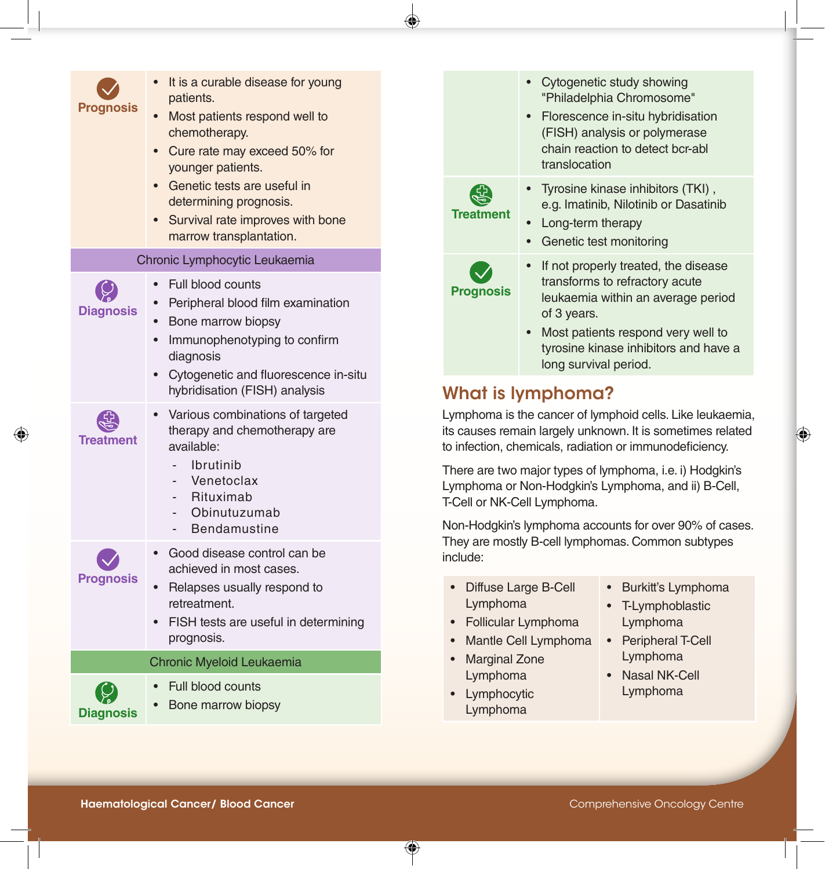| Prognosis                            | It is a curable disease for young<br>patients.<br>Most patients respond well to<br>$\bullet$<br>chemotherapy.<br>Cure rate may exceed 50% for<br>$\bullet$<br>younger patients.                                                                                 |                                                                                                                                                       | translocation                                                                                                                                                                                                                                                                                                                                                                                                                                                            | Cytogenetic study showing<br>"Philadelphia Chromosome"<br>• Florescence in-situ hybridisation<br>(FISH) analysis or polymerase<br>chain reaction to detect bcr-abl                          |  |
|--------------------------------------|-----------------------------------------------------------------------------------------------------------------------------------------------------------------------------------------------------------------------------------------------------------------|-------------------------------------------------------------------------------------------------------------------------------------------------------|--------------------------------------------------------------------------------------------------------------------------------------------------------------------------------------------------------------------------------------------------------------------------------------------------------------------------------------------------------------------------------------------------------------------------------------------------------------------------|---------------------------------------------------------------------------------------------------------------------------------------------------------------------------------------------|--|
|                                      | Genetic tests are useful in<br>$\bullet$<br>determining prognosis.<br>Survival rate improves with bone<br>$\bullet$<br>marrow transplantation.                                                                                                                  | <b>Treatment</b>                                                                                                                                      | Long-term therapy<br>$\bullet$                                                                                                                                                                                                                                                                                                                                                                                                                                           | Tyrosine kinase inhibitors (TKI),<br>e.g. Imatinib, Nilotinib or Dasatinib<br>Genetic test monitoring                                                                                       |  |
| <b>Diagnosis</b>                     | Chronic Lymphocytic Leukaemia<br>• Full blood counts<br>• Peripheral blood film examination<br>Bone marrow biopsy<br>$\bullet$<br>Immunophenotyping to confirm<br>diagnosis<br>• Cytogenetic and fluorescence in-situ                                           | <b>Prognosis</b>                                                                                                                                      | of 3 years.<br>long survival period.                                                                                                                                                                                                                                                                                                                                                                                                                                     | If not properly treated, the disease<br>transforms to refractory acute<br>leukaemia within an average period<br>Most patients respond very well to<br>tyrosine kinase inhibitors and have a |  |
| <b>Treatment</b>                     | hybridisation (FISH) analysis<br>Various combinations of targeted<br>therapy and chemotherapy are<br>available:<br><b>Ibrutinib</b><br>Venetoclax<br>Rituximab<br>Obinutuzumab<br><b>Bendamustine</b>                                                           |                                                                                                                                                       | What is lymphoma?<br>Lymphoma is the cancer of lymphoid cells. Like leukaemia,<br>its causes remain largely unknown. It is sometimes related<br>to infection, chemicals, radiation or immunodeficiency.<br>There are two major types of lymphoma, i.e. i) Hodgkin's<br>Lymphoma or Non-Hodgkin's Lymphoma, and ii) B-Cell,<br>T-Cell or NK-Cell Lymphoma.<br>Non-Hodgkin's lymphoma accounts for over 90% of cases.<br>They are mostly B-cell lymphomas. Common subtypes |                                                                                                                                                                                             |  |
| <b>Prognosis</b><br><b>Diagnosis</b> | Good disease control can be<br>achieved in most cases.<br>Relapses usually respond to<br>$\bullet$<br>retreatment.<br>FISH tests are useful in determining<br>$\bullet$<br>prognosis.<br>Chronic Myeloid Leukaemia<br>• Full blood counts<br>Bone marrow biopsy | include:<br>• Diffuse Large B-Cell<br>Lymphoma<br>• Follicular Lymphoma<br><b>Marginal Zone</b><br>$\bullet$<br>Lymphoma<br>• Lymphocytic<br>Lymphoma | Mantle Cell Lymphoma                                                                                                                                                                                                                                                                                                                                                                                                                                                     | • Burkitt's Lymphoma<br>• T-Lymphoblastic<br>Lymphoma<br>• Peripheral T-Cell<br>Lymphoma<br><b>Nasal NK-Cell</b><br>Lymphoma                                                                |  |